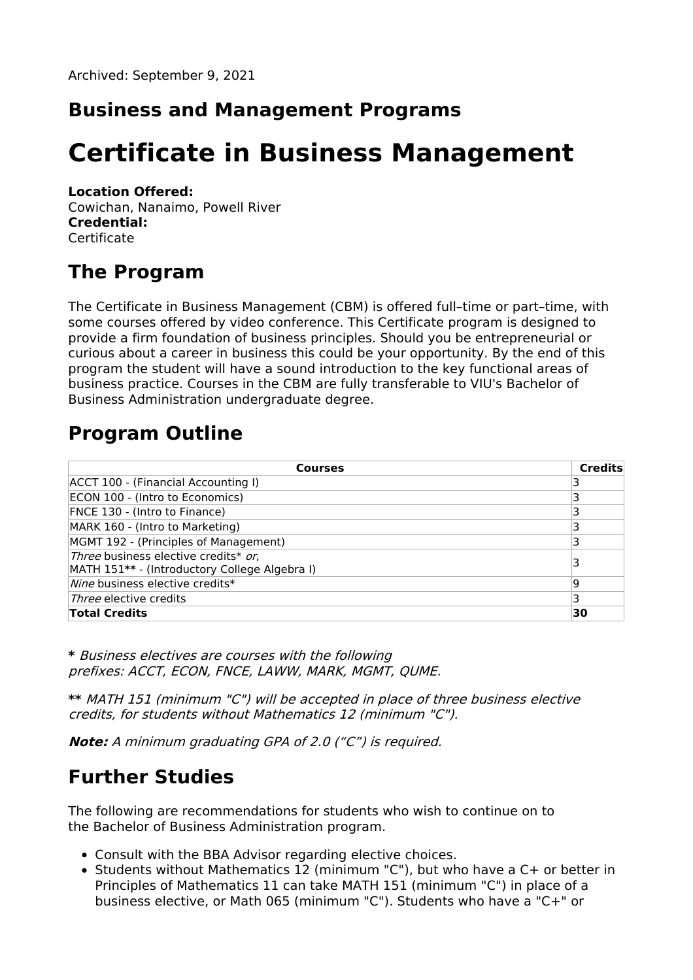#### **Business and Management Programs**

# **Certificate in Business Management**

#### **Location Offered:**

Cowichan, Nanaimo, Powell River **Credential: Certificate** 

### **The Program**

The Certificate in Business Management (CBM) is offered full–time or part–time, with some courses offered by video conference. This Certificate program is designed to provide a firm foundation of business principles. Should you be entrepreneurial or curious about a career in business this could be your opportunity. By the end of this program the student will have a sound introduction to the key functional areas of business practice. Courses in the CBM are fully transferable to VIU's Bachelor of Business Administration undergraduate degree.

### **Program Outline**

| <b>Courses</b>                                                                        | <b>Credits</b> |
|---------------------------------------------------------------------------------------|----------------|
| ACCT 100 - (Financial Accounting I)                                                   |                |
| ECON 100 - (Intro to Economics)                                                       |                |
| FNCE 130 - (Intro to Finance)                                                         |                |
| MARK 160 - (Intro to Marketing)                                                       |                |
| MGMT 192 - (Principles of Management)                                                 |                |
| Three business elective credits* or,<br>MATH 151** - (Introductory College Algebra I) |                |
| Nine business elective credits*                                                       | ۱q             |
| <i>Three</i> elective credits                                                         |                |
| <b>Total Credits</b>                                                                  | 30             |

**\*** Business electives are courses with the following prefixes: ACCT, ECON, FNCE, LAWW, MARK, MGMT, QUME.

**\*\*** MATH 151 (minimum "C") will be accepted in place of three business elective credits, for students without Mathematics 12 (minimum "C").

**Note:** A minimum graduating GPA of 2.0 ("C") is required.

#### **Further Studies**

The following are recommendations for students who wish to continue on to the Bachelor of Business Administration program.

- Consult with the BBA Advisor regarding elective choices.
- Students without Mathematics 12 (minimum "C"), but who have a C+ or better in Principles of Mathematics 11 can take MATH 151 (minimum "C") in place of a business elective, or Math 065 (minimum "C"). Students who have a "C+" or